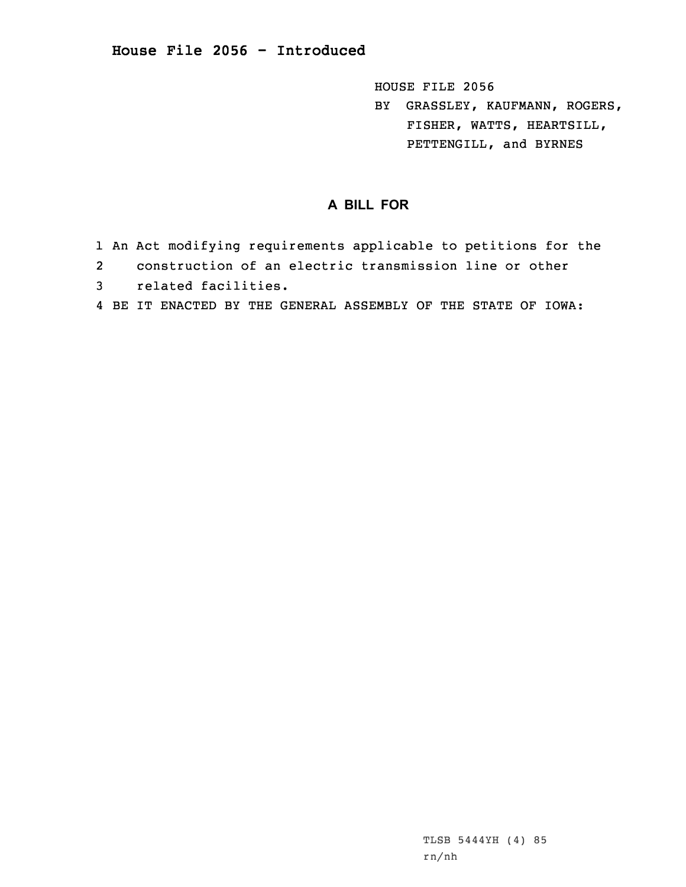HOUSE FILE 2056

BY GRASSLEY, KAUFMANN, ROGERS, FISHER, WATTS, HEARTSILL, PETTENGILL, and BYRNES

## **A BILL FOR**

- 1 An Act modifying requirements applicable to petitions for the
- 2construction of an electric transmission line or other
- 3 related facilities.
- 4 BE IT ENACTED BY THE GENERAL ASSEMBLY OF THE STATE OF IOWA: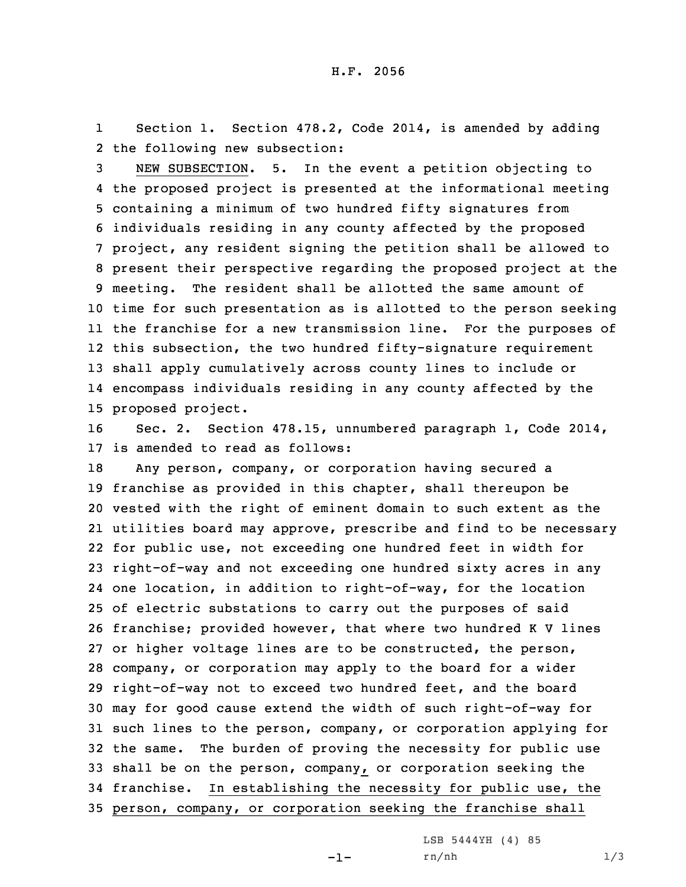1 Section 1. Section 478.2, Code 2014, is amended by adding 2 the following new subsection:

 NEW SUBSECTION. 5. In the event <sup>a</sup> petition objecting to the proposed project is presented at the informational meeting containing <sup>a</sup> minimum of two hundred fifty signatures from individuals residing in any county affected by the proposed project, any resident signing the petition shall be allowed to present their perspective regarding the proposed project at the meeting. The resident shall be allotted the same amount of time for such presentation as is allotted to the person seeking the franchise for <sup>a</sup> new transmission line. For the purposes of this subsection, the two hundred fifty-signature requirement shall apply cumulatively across county lines to include or encompass individuals residing in any county affected by the proposed project.

16 Sec. 2. Section 478.15, unnumbered paragraph 1, Code 2014, 17 is amended to read as follows:

 Any person, company, or corporation having secured <sup>a</sup> franchise as provided in this chapter, shall thereupon be vested with the right of eminent domain to such extent as the utilities board may approve, prescribe and find to be necessary for public use, not exceeding one hundred feet in width for right-of-way and not exceeding one hundred sixty acres in any one location, in addition to right-of-way, for the location of electric substations to carry out the purposes of said franchise; provided however, that where two hundred <sup>K</sup> <sup>V</sup> lines or higher voltage lines are to be constructed, the person, company, or corporation may apply to the board for <sup>a</sup> wider right-of-way not to exceed two hundred feet, and the board may for good cause extend the width of such right-of-way for such lines to the person, company, or corporation applying for the same. The burden of proving the necessity for public use shall be on the person, company, or corporation seeking the franchise. In establishing the necessity for public use, the person, company, or corporation seeking the franchise shall

LSB 5444YH (4) 85

-1-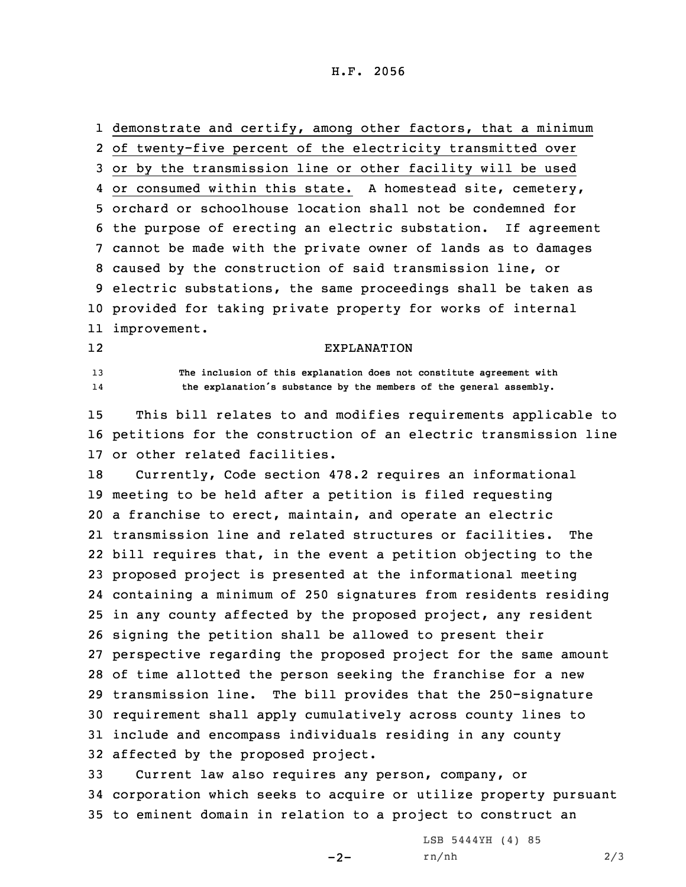H.F. 2056

 demonstrate and certify, among other factors, that <sup>a</sup> minimum of twenty-five percent of the electricity transmitted over or by the transmission line or other facility will be used or consumed within this state. <sup>A</sup> homestead site, cemetery, orchard or schoolhouse location shall not be condemned for the purpose of erecting an electric substation. If agreement cannot be made with the private owner of lands as to damages caused by the construction of said transmission line, or electric substations, the same proceedings shall be taken as provided for taking private property for works of internal improvement. 12EXPLANATION

13 **The inclusion of this explanation does not constitute agreement with** 14**the explanation's substance by the members of the general assembly.**

15 This bill relates to and modifies requirements applicable to 16 petitions for the construction of an electric transmission line 17 or other related facilities.

 Currently, Code section 478.2 requires an informational meeting to be held after <sup>a</sup> petition is filed requesting <sup>a</sup> franchise to erect, maintain, and operate an electric transmission line and related structures or facilities. The bill requires that, in the event <sup>a</sup> petition objecting to the proposed project is presented at the informational meeting containing <sup>a</sup> minimum of 250 signatures from residents residing in any county affected by the proposed project, any resident signing the petition shall be allowed to present their perspective regarding the proposed project for the same amount of time allotted the person seeking the franchise for <sup>a</sup> new transmission line. The bill provides that the 250-signature requirement shall apply cumulatively across county lines to include and encompass individuals residing in any county affected by the proposed project.

33 Current law also requires any person, company, or 34 corporation which seeks to acquire or utilize property pursuant 35 to eminent domain in relation to <sup>a</sup> project to construct an

 $-2-$ 

LSB 5444YH (4) 85 rn/nh 2/3